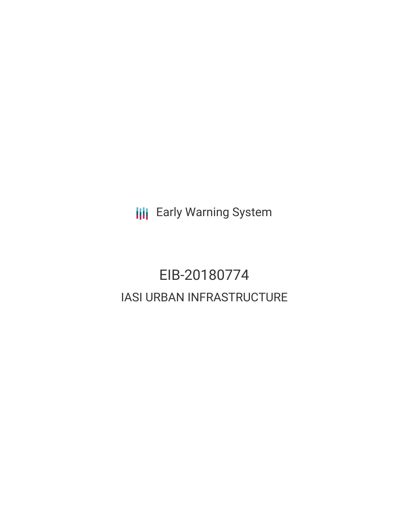**III** Early Warning System

# EIB-20180774 IASI URBAN INFRASTRUCTURE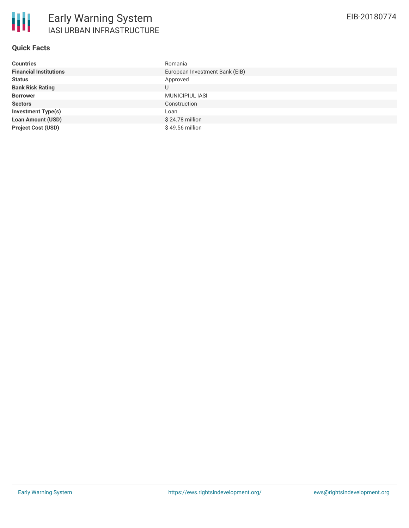### **Quick Facts**

| <b>Countries</b>              | Romania                        |
|-------------------------------|--------------------------------|
| <b>Financial Institutions</b> | European Investment Bank (EIB) |
| <b>Status</b>                 | Approved                       |
| <b>Bank Risk Rating</b>       | U                              |
| <b>Borrower</b>               | MUNICIPIUL IASI                |
| <b>Sectors</b>                | Construction                   |
| <b>Investment Type(s)</b>     | Loan                           |
| <b>Loan Amount (USD)</b>      | $$24.78$ million               |
| <b>Project Cost (USD)</b>     | \$49.56 million                |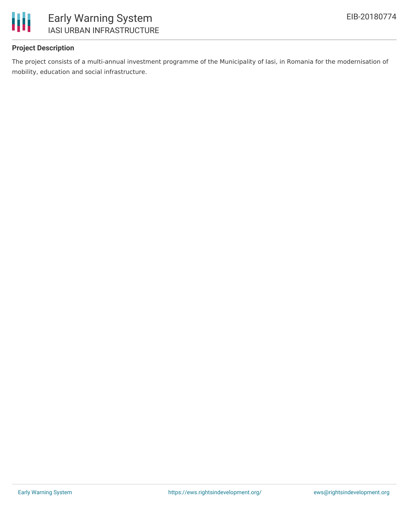

### **Project Description**

The project consists of a multi-annual investment programme of the Municipality of Iasi, in Romania for the modernisation of mobility, education and social infrastructure.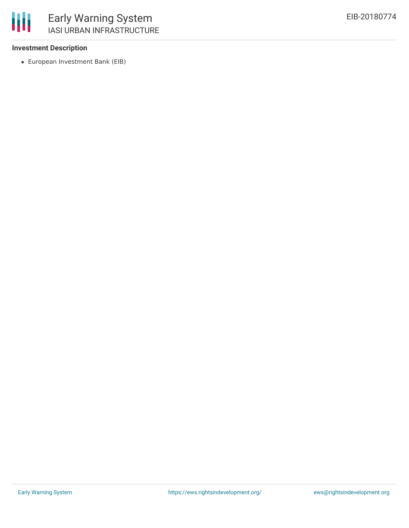

#### **Investment Description**

European Investment Bank (EIB)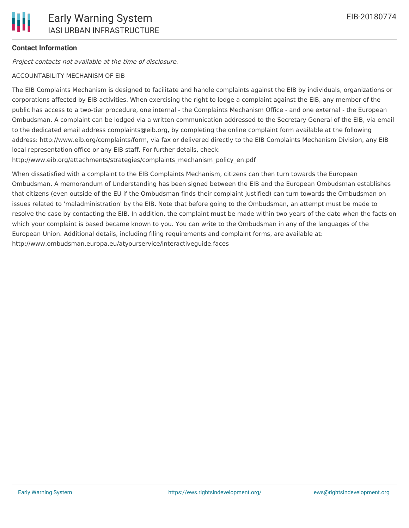#### **Contact Information**

Project contacts not available at the time of disclosure.

#### ACCOUNTABILITY MECHANISM OF EIB

The EIB Complaints Mechanism is designed to facilitate and handle complaints against the EIB by individuals, organizations or corporations affected by EIB activities. When exercising the right to lodge a complaint against the EIB, any member of the public has access to a two-tier procedure, one internal - the Complaints Mechanism Office - and one external - the European Ombudsman. A complaint can be lodged via a written communication addressed to the Secretary General of the EIB, via email to the dedicated email address complaints@eib.org, by completing the online complaint form available at the following address: http://www.eib.org/complaints/form, via fax or delivered directly to the EIB Complaints Mechanism Division, any EIB local representation office or any EIB staff. For further details, check:

http://www.eib.org/attachments/strategies/complaints\_mechanism\_policy\_en.pdf

When dissatisfied with a complaint to the EIB Complaints Mechanism, citizens can then turn towards the European Ombudsman. A memorandum of Understanding has been signed between the EIB and the European Ombudsman establishes that citizens (even outside of the EU if the Ombudsman finds their complaint justified) can turn towards the Ombudsman on issues related to 'maladministration' by the EIB. Note that before going to the Ombudsman, an attempt must be made to resolve the case by contacting the EIB. In addition, the complaint must be made within two years of the date when the facts on which your complaint is based became known to you. You can write to the Ombudsman in any of the languages of the European Union. Additional details, including filing requirements and complaint forms, are available at: http://www.ombudsman.europa.eu/atyourservice/interactiveguide.faces